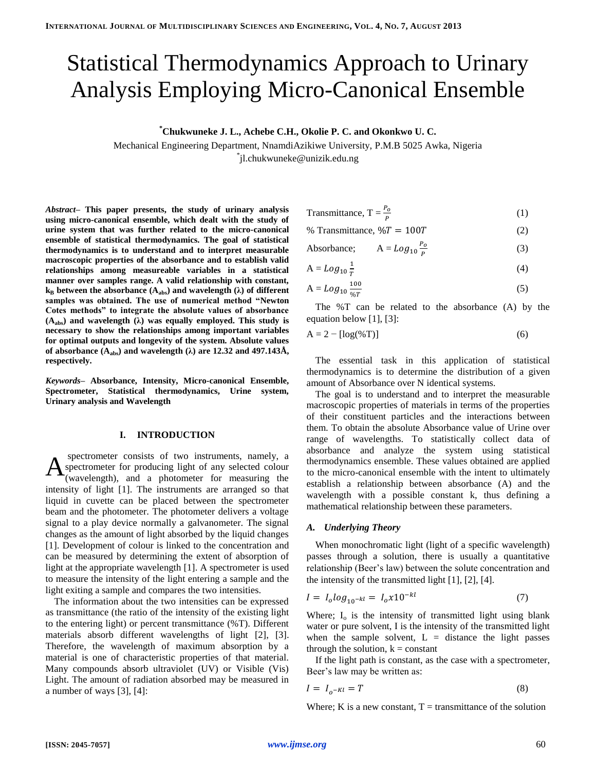# Statistical Thermodynamics Approach to Urinary Analysis Employing Micro-Canonical Ensemble

**\*Chukwuneke J. L., Achebe C.H., Okolie P. C. and Okonkwo U. C.**

Mechanical Engineering Department, NnamdiAzikiwe University, P.M.B 5025 Awka, Nigeria \* jl.chukwuneke@unizik.edu.ng

*Abstract–* **This paper presents, the study of urinary analysis using micro-canonical ensemble, which dealt with the study of urine system that was further related to the micro-canonical ensemble of statistical thermodynamics. The goal of statistical thermodynamics is to understand and to interpret measurable macroscopic properties of the absorbance and to establish valid relationships among measureable variables in a statistical manner over samples range. A valid relationship with constant,**   $k_B$  between the absorbance  $(A_{abs})$  and wavelength  $(\lambda)$  of different **samples was obtained. The use of numerical method "Newton Cotes methods" to integrate the absolute values of absorbance (Aabs) and wavelength (λ) was equally employed. This study is necessary to show the relationships among important variables for optimal outputs and longevity of the system. Absolute values**  of absorbance  $(A_{\text{abs}})$  and wavelength  $(\lambda)$  are 12.32 and 497.143Å, **respectively.**

*Keywords–* **Absorbance, Intensity, Micro-canonical Ensemble, Spectrometer, Statistical thermodynamics, Urine system, Urinary analysis and Wavelength**

### **I. INTRODUCTION**

spectrometer consists of two instruments, namely, a spectrometer for producing light of any selected colour (wavelength), and a photometer for measuring the intensity of light [1]. The instruments are arranged so that liquid in cuvette can be placed between the spectrometer beam and the photometer. The photometer delivers a voltage signal to a play device normally a galvanometer. The signal changes as the amount of light absorbed by the liquid changes [1]. Development of colour is linked to the concentration and can be measured by determining the extent of absorption of light at the appropriate wavelength [1]. A spectrometer is used to measure the intensity of the light entering a sample and the light exiting a sample and compares the two intensities. A

The information about the two intensities can be expressed as transmittance (the ratio of the intensity of the existing light to the entering light) or percent transmittance (%T). Different materials absorb different wavelengths of light [2], [3]. Therefore, the wavelength of maximum absorption by a material is one of characteristic properties of that material. Many compounds absorb ultraviolet (UV) or Visible (Vis) Light. The amount of radiation absorbed may be measured in a number of ways [3], [4]:

$$
Transmittance, T = \frac{P_o}{P}
$$
 (1)

% Transmittance,  $\%T = 100T$  (2)

Absorbance; 
$$
A = Log_{10} \frac{P_o}{P}
$$
 (3)

$$
A = Log_{10} \frac{1}{T}
$$
 (4)

$$
A = Log_{10} \frac{100}{\%T} \tag{5}
$$

The %T can be related to the absorbance (A) by the equation below [1], [3]:

$$
A = 2 - [\log(\%T)] \tag{6}
$$

The essential task in this application of statistical thermodynamics is to determine the distribution of a given amount of Absorbance over N identical systems.

The goal is to understand and to interpret the measurable macroscopic properties of materials in terms of the properties of their constituent particles and the interactions between them. To obtain the absolute Absorbance value of Urine over range of wavelengths. To statistically collect data of absorbance and analyze the system using statistical thermodynamics ensemble. These values obtained are applied to the micro-canonical ensemble with the intent to ultimately establish a relationship between absorbance (A) and the wavelength with a possible constant k, thus defining a mathematical relationship between these parameters.

#### *A. Underlying Theory*

When monochromatic light (light of a specific wavelength) passes through a solution, there is usually a quantitative relationship (Beer's law) between the solute concentration and the intensity of the transmitted light [1], [2], [4].

$$
I = I_o \log_{10^{-kl}} = I_o x 10^{-kl} \tag{7}
$$

Where;  $I_0$  is the intensity of transmitted light using blank water or pure solvent, I is the intensity of the transmitted light when the sample solvent,  $L =$  distance the light passes through the solution,  $k = constant$ 

If the light path is constant, as the case with a spectrometer, Beer's law may be written as:

$$
I = I_{o^{-Kl}} = T \tag{8}
$$

Where; K is a new constant,  $T =$  transmittance of the solution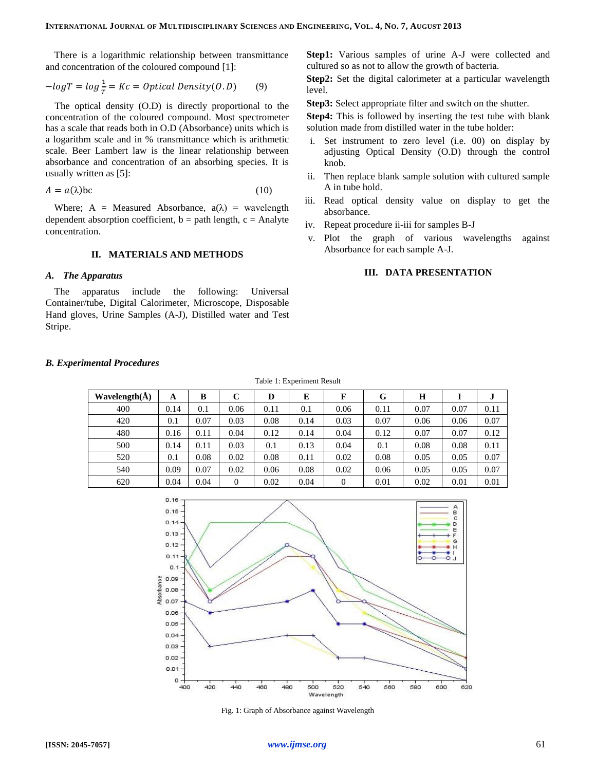There is a logarithmic relationship between transmittance and concentration of the coloured compound [1]:

$$
-logT = log \frac{1}{T} = Kc = Optical Density(0.D)
$$
 (9)

The optical density (O.D) is directly proportional to the concentration of the coloured compound. Most spectrometer has a scale that reads both in O.D (Absorbance) units which is a logarithm scale and in % transmittance which is arithmetic scale. Beer Lambert law is the linear relationship between absorbance and concentration of an absorbing species. It is usually written as [5]:

$$
A = a(\lambda)bc \tag{10}
$$

Where; A = Measured Absorbance,  $a(\lambda)$  = wavelength dependent absorption coefficient,  $b =$  path length,  $c =$  Analyte concentration.

#### **II. MATERIALS AND METHODS**

#### *A. The Apparatus*

The apparatus include the following: Universal Container/tube, Digital Calorimeter, Microscope, Disposable Hand gloves, Urine Samples (A-J), Distilled water and Test Stripe.

**Step1:** Various samples of urine A-J were collected and cultured so as not to allow the growth of bacteria.

**Step2:** Set the digital calorimeter at a particular wavelength level.

**Step3:** Select appropriate filter and switch on the shutter.

**Step4:** This is followed by inserting the test tube with blank solution made from distilled water in the tube holder:

- i. Set instrument to zero level (i.e. 00) on display by adjusting Optical Density (O.D) through the control knob.
- ii. Then replace blank sample solution with cultured sample A in tube hold.
- iii. Read optical density value on display to get the absorbance.
- iv. Repeat procedure ii-iii for samples B-J
- v. Plot the graph of various wavelengths against Absorbance for each sample A-J.

## **III. DATA PRESENTATION**

| Table 1: Experiment Result |      |      |        |      |      |        |      |          |      |      |  |
|----------------------------|------|------|--------|------|------|--------|------|----------|------|------|--|
| Wavelength $(\AA)$         | A    | B    | C      | D    | E    | F      | G    | H        |      |      |  |
| 400                        | 0.14 | 0.1  | 0.06   | 0.11 | 0.1  | 0.06   | 0.11 | 0.07     | 0.07 | 0.11 |  |
| 420                        | 0.1  | 0.07 | 0.03   | 0.08 | 0.14 | 0.03   | 0.07 | 0.06     | 0.06 | 0.07 |  |
| 480                        | 0.16 | 0.11 | 0.04   | 0.12 | 0.14 | 0.04   | 0.12 | 0.07     | 0.07 | 0.12 |  |
| 500                        | 0.14 | 0.11 | 0.03   | 0.1  | 0.13 | 0.04   | 0.1  | 0.08     | 0.08 | 0.11 |  |
| 520                        | 0.1  | 0.08 | 0.02   | 0.08 | 0.11 | 0.02   | 0.08 | 0.05     | 0.05 | 0.07 |  |
| 540                        | 0.09 | 0.07 | 0.02   | 0.06 | 0.08 | 0.02   | 0.06 | 0.05     | 0.05 | 0.07 |  |
| $\sim$                     | 0.01 | 0.01 | $\sim$ | 0.02 | 0.01 | $\sim$ | 0.01 | $\Omega$ | 0.01 | 0.01 |  |





Fig. 1: Graph of Absorbance against Wavelength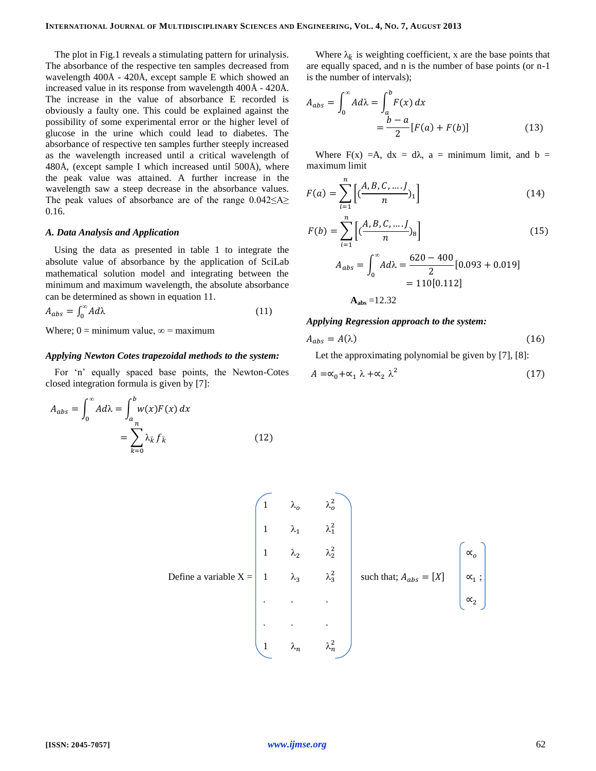The plot in Fig.1 reveals a stimulating pattern for urinalysis. The absorbance of the respective ten samples decreased from wavelength 400Å - 420Å, except sample E which showed an increased value in its response from wavelength 400Å - 420Å. The increase in the value of absorbance E recorded is obviously a faulty one. This could be explained against the possibility of some experimental error or the higher level of glucose in the urine which could lead to diabetes. The absorbance of respective ten samples further steeply increased as the wavelength increased until a critical wavelength of 480Å, (except sample I which increased until 500Å), where the peak value was attained. A further increase in the wavelength saw a steep decrease in the absorbance values. The peak values of absorbance are of the range 0.042≤A≥ 0.16.

#### *A. Data Analysis and Application*

Using the data as presented in table 1 to integrate the absolute value of absorbance by the application of SciLab mathematical solution model and integrating between the minimum and maximum wavelength, the absolute absorbance can be determined as shown in equation 11.

$$
A_{abs} = \int_0^\infty A d\lambda \tag{11}
$$

Where; 0 = minimum value,  $\infty$  = maximum

#### *Applying Newton Cotes trapezoidal methods to the system:*

For 'n' equally spaced base points, the Newton-Cotes closed integration formula is given by [7]:

$$
A_{abs} = \int_0^\infty A d\lambda = \int_a^b w(x) F(x) dx
$$
  
= 
$$
\sum_{k=0}^n \lambda_{\bar{k}} f_{\bar{k}}
$$
 (12)

Where  $\lambda_{\overline{k}}$  is weighting coefficient, x are the base points that are equally spaced, and n is the number of base points (or n-1 is the number of intervals);

$$
A_{abs} = \int_0^\infty A d\lambda = \int_a^b F(x) dx
$$
  
= 
$$
\frac{b-a}{2} [F(a) + F(b)]
$$
 (13)

Where  $F(x) = A$ ,  $dx = d\lambda$ ,  $a = \text{minimum limit}$ , and  $b =$ maximum limit

$$
F(a) = \sum_{i=1}^{n} \left[ \left( \frac{A, B, C, \dots, J}{n} \right)_{1} \right]
$$
 (14)

$$
F(b) = \sum_{i=1}^{n} \left[ \frac{(A, B, C, \dots, J)}{n} \right] \tag{15}
$$
  

$$
A_{abs} = \int_{0}^{\infty} A d\lambda = \frac{620 - 400}{2} [0.093 + 0.019]
$$
  

$$
= 110[0.112]
$$
  

$$
A_{abs} = 12.32
$$

#### *Applying Regression approach to the system:*

$$
A_{abs} = A(\lambda) \tag{16}
$$

Let the approximating polynomial be given by [7], [8]:

$$
A = \alpha_0 + \alpha_1 \lambda + \alpha_2 \lambda^2 \tag{17}
$$

Define a variable X = 
$$
\begin{pmatrix}\n1 & \lambda_o & \lambda_o^2 \\
1 & \lambda_1 & \lambda_1^2 \\
1 & \lambda_2 & \lambda_2^2 \\
1 & \lambda_3 & \lambda_3^2 \\
\vdots & \vdots & \ddots & \vdots \\
1 & \lambda_n & \lambda_n^2\n\end{pmatrix}
$$
 such that;  $A_{abs} = [X] \begin{pmatrix} \alpha_o \\
\alpha_1 \\
\alpha_2\n\end{pmatrix}$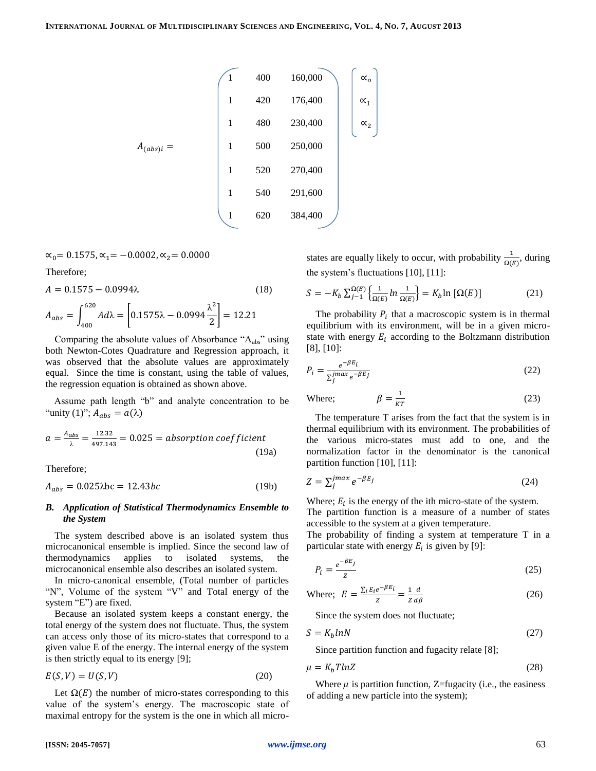$$
A_{(abs)i} = \begin{pmatrix} 1 & 400 & 160,000 \\ 1 & 420 & 176,400 \\ 1 & 480 & 230,400 \\ 1 & 500 & 250,000 \\ 1 & 520 & 270,400 \\ 1 & 540 & 291,600 \\ 1 & 620 & 384,400 \end{pmatrix} \begin{pmatrix} \alpha_o \\ \alpha_1 \\ \alpha_2 \end{pmatrix}
$$

 $\alpha_0 = 0.1575, \alpha_1 = -0.0002, \alpha_2 = 0.0000$ 

Therefore;

$$
A = 0.1575 - 0.0994\lambda
$$
\n
$$
A_{abs} = \int_{400}^{620} A d\lambda = \left[ 0.1575\lambda - 0.0994 \frac{\lambda^2}{2} \right] = 12.21
$$
\n
$$
(18)
$$

Comparing the absolute values of Absorbance " $A_{abs}$ " using both Newton-Cotes Quadrature and Regression approach, it was observed that the absolute values are approximately equal. Since the time is constant, using the table of values, the regression equation is obtained as shown above.

Assume path length "b" and analyte concentration to be "unity (1)";  $A_{abs} = a(\lambda)$ 

$$
a = \frac{A_{abs}}{\lambda} = \frac{12.32}{497.143} = 0.025 = absorption coefficient
$$
\n(19a)

Therefore;

$$
A_{abs} = 0.025\lambda bc = 12.43bc \tag{19b}
$$

#### *B. Application of Statistical Thermodynamics Ensemble to the System*

The system described above is an isolated system thus microcanonical ensemble is implied. Since the second law of thermodynamics applies to isolated systems, the microcanonical ensemble also describes an isolated system.

In micro-canonical ensemble, (Total number of particles "N", Volume of the system "V" and Total energy of the system "E") are fixed.

Because an isolated system keeps a constant energy, the total energy of the system does not fluctuate. Thus, the system can access only those of its micro-states that correspond to a given value E of the energy. The internal energy of the system is then strictly equal to its energy [9];

$$
E(S, V) = U(S, V) \tag{20}
$$

Let 
$$
\Omega(E)
$$
 the number of micro-states corresponding to this value of the system's energy. The macroscopic state of maximal entropy for the system is the one in which all micro-

states are equally likely to occur, with probability  $\frac{1}{\Omega(E)}$ , during the system's fluctuations [10], [11]:

$$
S = -K_b \sum_{j=1}^{\Omega(E)} \left\{ \frac{1}{\Omega(E)} \ln \frac{1}{\Omega(E)} \right\} = K_b \ln \left[ \Omega(E) \right] \tag{21}
$$

The probability  $P_i$  that a macroscopic system is in thermal equilibrium with its environment, will be in a given microstate with energy  $E_i$  according to the Boltzmann distribution [8], [10]:

$$
P_i = \frac{e^{-\beta E_i}}{\sum_j^{\text{max}} e^{-\beta E_j}}\tag{22}
$$

Where; 
$$
\beta = \frac{1}{kT}
$$
 (23)

The temperature T arises from the fact that the system is in thermal equilibrium with its environment. The probabilities of the various micro-states must add to one, and the normalization factor in the denominator is the canonical partition function [10], [11]:

$$
Z = \sum_{j}^{jmax} e^{-\beta E_{j}} \tag{24}
$$

Where;  $E_i$  is the energy of the ith micro-state of the system. The partition function is a measure of a number of states accessible to the system at a given temperature.

The probability of finding a system at temperature T in a particular state with energy  $E_i$  is given by [9]:

$$
P_i = \frac{e^{-\beta E_j}}{z} \tag{25}
$$

Where; 
$$
E = \frac{\sum_{i} E_{i} e^{-\beta E_{i}}}{Z} = \frac{1}{Z} \frac{d}{d\beta}
$$
 (26)

Since the system does not fluctuate;

$$
S = K_b lnN \tag{27}
$$

Since partition function and fugacity relate [8];

$$
\mu = K_b T ln Z \tag{28}
$$

Where  $\mu$  is partition function, Z=fugacity (i.e., the easiness of adding a new particle into the system);